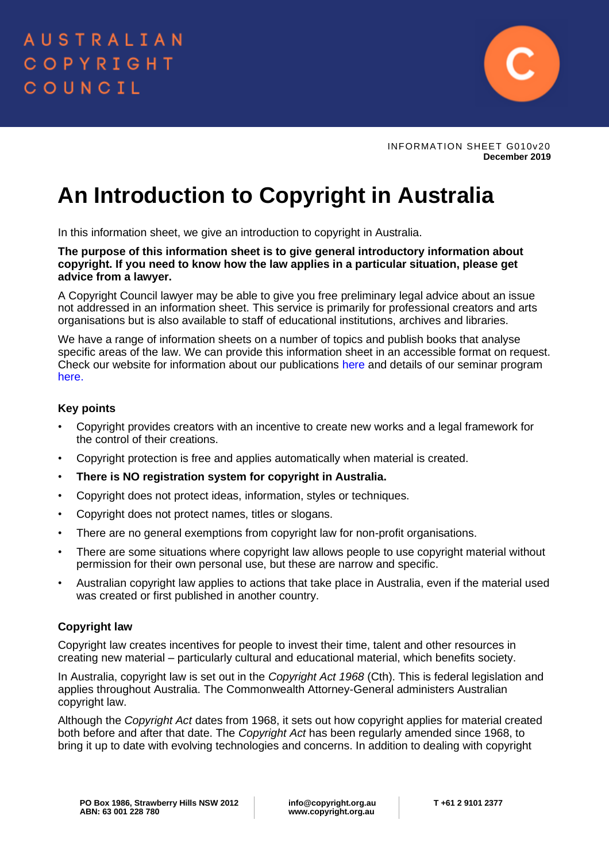

INFORMATION SHEET G010v20 **December 2019**

# **An Introduction to Copyright in Australia**

In this information sheet, we give an introduction to copyright in Australia.

**The purpose of this information sheet is to give general introductory information about copyright. If you need to know how the law applies in a particular situation, please get advice from a lawyer.** 

A Copyright Council lawyer may be able to give you free preliminary legal advice about an issue not addressed in an information sheet. This service is primarily for professional creators and arts organisations but is also available to staff of educational institutions, archives and libraries.

We have a range of information sheets on a number of topics and publish books that analyse specific areas of the law. We can provide this information sheet in an accessible format on request. Check our website for information about our publications [here](https://www.copyright.org.au/ACC/Bookstore/ACC/Bookshop/Bookstore.aspx?hkey=d8648879-d8a7-434c-8971-a5180282c763) and details of our seminar program [here.](https://www.copyright.org.au/ACC/Seminars/Customised_Inhouse_Training/ACC/Seminars/Customised_In-house_training.aspx?hkey=48cb42c8-9017-42cb-a950-d4f0416a1c7a)

## **Key points**

- Copyright provides creators with an incentive to create new works and a legal framework for the control of their creations.
- Copyright protection is free and applies automatically when material is created.
- **There is NO registration system for copyright in Australia.**
- Copyright does not protect ideas, information, styles or techniques.
- Copyright does not protect names, titles or slogans.
- There are no general exemptions from copyright law for non-profit organisations.
- There are some situations where copyright law allows people to use copyright material without permission for their own personal use, but these are narrow and specific.
- Australian copyright law applies to actions that take place in Australia, even if the material used was created or first published in another country.

# **Copyright law**

Copyright law creates incentives for people to invest their time, talent and other resources in creating new material – particularly cultural and educational material, which benefits society.

In Australia, copyright law is set out in the *Copyright Act 1968* (Cth). This is federal legislation and applies throughout Australia. The Commonwealth Attorney-General administers Australian copyright law.

Although the *Copyright Act* dates from 1968, it sets out how copyright applies for material created both before and after that date. The *Copyright Act* has been regularly amended since 1968, to bring it up to date with evolving technologies and concerns. In addition to dealing with copyright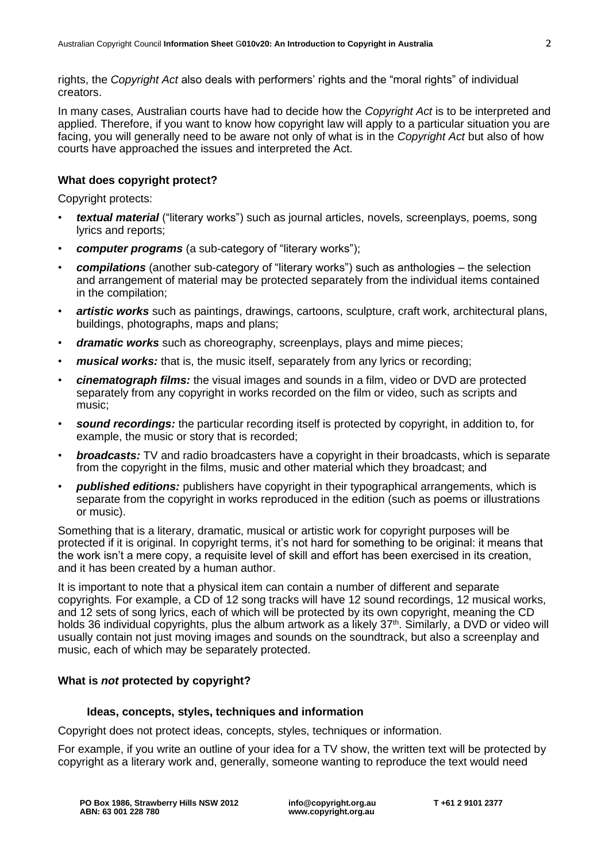rights, the *Copyright Act* also deals with performers' rights and the "moral rights" of individual creators.

In many cases, Australian courts have had to decide how the *Copyright Act* is to be interpreted and applied. Therefore, if you want to know how copyright law will apply to a particular situation you are facing, you will generally need to be aware not only of what is in the *Copyright Act* but also of how courts have approached the issues and interpreted the Act.

## **What does copyright protect?**

Copyright protects:

- *textual material* ("literary works") such as journal articles, novels, screenplays, poems, song lyrics and reports;
- *computer programs* (a sub-category of "literary works");
- *compilations* (another sub-category of "literary works") such as anthologies the selection and arrangement of material may be protected separately from the individual items contained in the compilation;
- *artistic works* such as paintings, drawings, cartoons, sculpture, craft work, architectural plans, buildings, photographs, maps and plans;
- *dramatic works* such as choreography, screenplays, plays and mime pieces;
- *musical works:* that is, the music itself, separately from any lyrics or recording;
- *cinematograph films:* the visual images and sounds in a film, video or DVD are protected separately from any copyright in works recorded on the film or video, such as scripts and music;
- *sound recordings:* the particular recording itself is protected by copyright, in addition to, for example, the music or story that is recorded;
- *broadcasts:* TV and radio broadcasters have a copyright in their broadcasts, which is separate from the copyright in the films, music and other material which they broadcast; and
- *published editions:* publishers have copyright in their typographical arrangements, which is separate from the copyright in works reproduced in the edition (such as poems or illustrations or music).

Something that is a literary, dramatic, musical or artistic work for copyright purposes will be protected if it is original. In copyright terms, it's not hard for something to be original: it means that the work isn't a mere copy, a requisite level of skill and effort has been exercised in its creation, and it has been created by a human author.

It is important to note that a physical item can contain a number of different and separate copyrights*.* For example, a CD of 12 song tracks will have 12 sound recordings, 12 musical works, and 12 sets of song lyrics, each of which will be protected by its own copyright, meaning the CD holds 36 individual copyrights, plus the album artwork as a likely 37<sup>th</sup>. Similarly, a DVD or video will usually contain not just moving images and sounds on the soundtrack, but also a screenplay and music, each of which may be separately protected.

## **What is** *not* **protected by copyright?**

### **Ideas, concepts, styles, techniques and information**

Copyright does not protect ideas, concepts, styles, techniques or information.

For example, if you write an outline of your idea for a TV show, the written text will be protected by copyright as a literary work and, generally, someone wanting to reproduce the text would need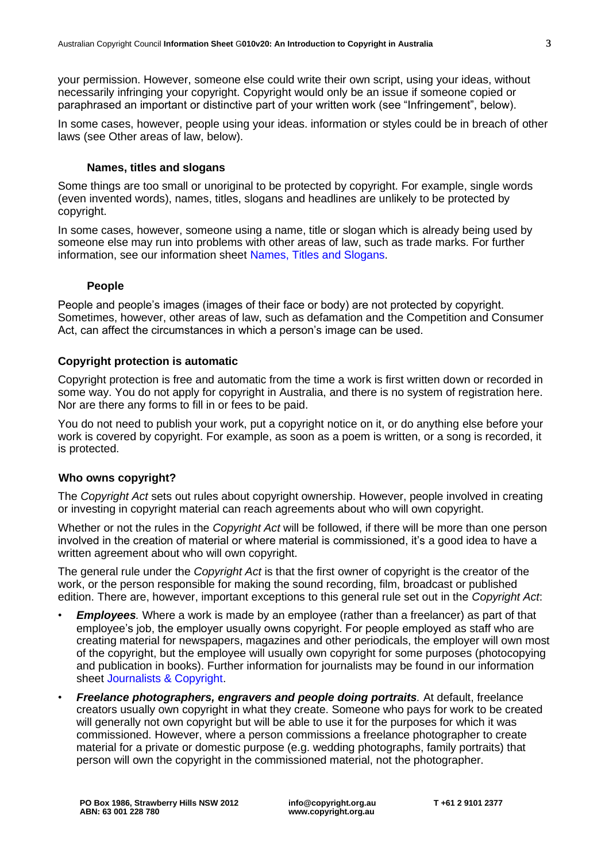your permission. However, someone else could write their own script, using your ideas, without necessarily infringing your copyright. Copyright would only be an issue if someone copied or paraphrased an important or distinctive part of your written work (see "Infringement", below).

In some cases, however, people using your ideas. information or styles could be in breach of other laws (see Other areas of law, below).

#### **Names, titles and slogans**

Some things are too small or unoriginal to be protected by copyright. For example, single words (even invented words), names, titles, slogans and headlines are unlikely to be protected by copyright.

In some cases, however, someone using a name, title or slogan which is already being used by someone else may run into problems with other areas of law, such as trade marks. For further information, see our information sheet [Names, Titles and Slogans.](http://www.copyright.org.au/acc_prod/ACC/Information_Sheets/Names__Titles___Slogans.aspx?WebsiteKey=8a471e74-3f78-4994-9023-316f0ecef4ef)

## **People**

People and people's images (images of their face or body) are not protected by copyright. Sometimes, however, other areas of law, such as defamation and the Competition and Consumer Act, can affect the circumstances in which a person's image can be used.

## **Copyright protection is automatic**

Copyright protection is free and automatic from the time a work is first written down or recorded in some way. You do not apply for copyright in Australia, and there is no system of registration here. Nor are there any forms to fill in or fees to be paid.

You do not need to publish your work, put a copyright notice on it, or do anything else before your work is covered by copyright. For example, as soon as a poem is written, or a song is recorded, it is protected.

# **Who owns copyright?**

The *Copyright Act* sets out rules about copyright ownership. However, people involved in creating or investing in copyright material can reach agreements about who will own copyright.

Whether or not the rules in the *Copyright Act* will be followed, if there will be more than one person involved in the creation of material or where material is commissioned, it's a good idea to have a written agreement about who will own copyright.

The general rule under the *Copyright Act* is that the first owner of copyright is the creator of the work, or the person responsible for making the sound recording, film, broadcast or published edition. There are, however, important exceptions to this general rule set out in the *Copyright Act*:

- *Employees.* Where a work is made by an employee (rather than a freelancer) as part of that employee's job, the employer usually owns copyright. For people employed as staff who are creating material for newspapers, magazines and other periodicals, the employer will own most of the copyright, but the employee will usually own copyright for some purposes (photocopying and publication in books). Further information for journalists may be found in our information sheet [Journalists & Copyright.](http://www.copyright.org.au/acc_prod/ACC/Information_Sheets/Journalists___Copyright.aspx?WebsiteKey=8a471e74-3f78-4994-9023-316f0ecef4ef)
- *Freelance photographers, engravers and people doing portraits.* At default, freelance creators usually own copyright in what they create. Someone who pays for work to be created will generally not own copyright but will be able to use it for the purposes for which it was commissioned. However, where a person commissions a freelance photographer to create material for a private or domestic purpose (e.g. wedding photographs, family portraits) that person will own the copyright in the commissioned material, not the photographer.

**info@copyright.org.au www.copyright.org.au**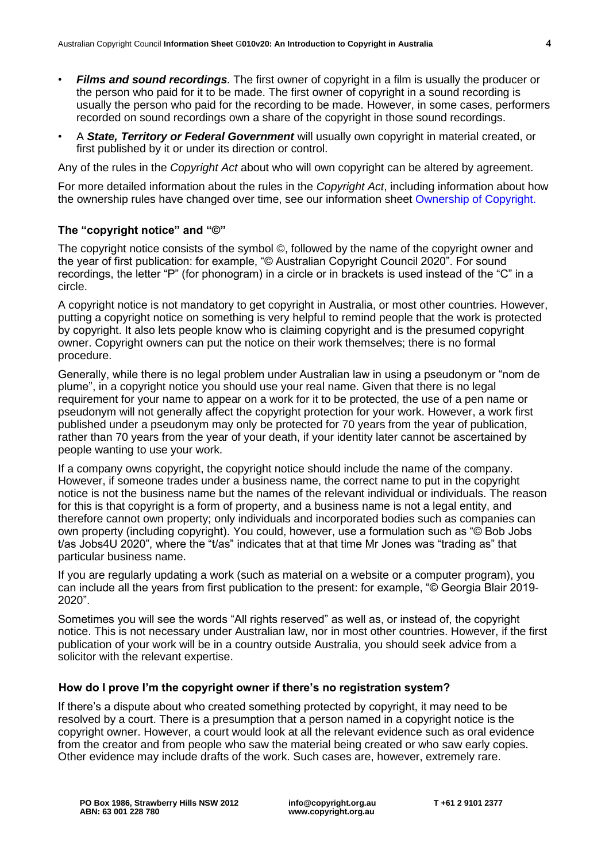- *Films and sound recordings.* The first owner of copyright in a film is usually the producer or the person who paid for it to be made. The first owner of copyright in a sound recording is usually the person who paid for the recording to be made. However, in some cases, performers recorded on sound recordings own a share of the copyright in those sound recordings.
- A *State, Territory or Federal Government* will usually own copyright in material created, or first published by it or under its direction or control.

Any of the rules in the *Copyright Act* about who will own copyright can be altered by agreement.

For more detailed information about the rules in the *Copyright Act*, including information about how the ownership rules have changed over time, see our information sheet [Ownership of Copyright.](http://www.copyright.org.au/acc_prod/ACC/Information_Sheets/Ownership_of_Copyright.aspx?WebsiteKey=8a471e74-3f78-4994-9023-316f0ecef4ef)

# **The "copyright notice" and "©"**

The copyright notice consists of the symbol ©, followed by the name of the copyright owner and the year of first publication: for example, "© Australian Copyright Council 2020". For sound recordings, the letter "P" (for phonogram) in a circle or in brackets is used instead of the "C" in a circle.

A copyright notice is not mandatory to get copyright in Australia, or most other countries. However, putting a copyright notice on something is very helpful to remind people that the work is protected by copyright. It also lets people know who is claiming copyright and is the presumed copyright owner. Copyright owners can put the notice on their work themselves; there is no formal procedure.

Generally, while there is no legal problem under Australian law in using a pseudonym or "nom de plume", in a copyright notice you should use your real name. Given that there is no legal requirement for your name to appear on a work for it to be protected, the use of a pen name or pseudonym will not generally affect the copyright protection for your work. However, a work first published under a pseudonym may only be protected for 70 years from the year of publication, rather than 70 years from the year of your death, if your identity later cannot be ascertained by people wanting to use your work.

If a company owns copyright, the copyright notice should include the name of the company. However, if someone trades under a business name, the correct name to put in the copyright notice is not the business name but the names of the relevant individual or individuals. The reason for this is that copyright is a form of property, and a business name is not a legal entity, and therefore cannot own property; only individuals and incorporated bodies such as companies can own property (including copyright). You could, however, use a formulation such as "© Bob Jobs t/as Jobs4U 2020", where the "t/as" indicates that at that time Mr Jones was "trading as" that particular business name.

If you are regularly updating a work (such as material on a website or a computer program), you can include all the years from first publication to the present: for example, "© Georgia Blair 2019- 2020".

Sometimes you will see the words "All rights reserved" as well as, or instead of, the copyright notice. This is not necessary under Australian law, nor in most other countries. However, if the first publication of your work will be in a country outside Australia, you should seek advice from a solicitor with the relevant expertise.

#### **How do I prove I'm the copyright owner if there's no registration system?**

If there's a dispute about who created something protected by copyright, it may need to be resolved by a court. There is a presumption that a person named in a copyright notice is the copyright owner. However, a court would look at all the relevant evidence such as oral evidence from the creator and from people who saw the material being created or who saw early copies. Other evidence may include drafts of the work. Such cases are, however, extremely rare.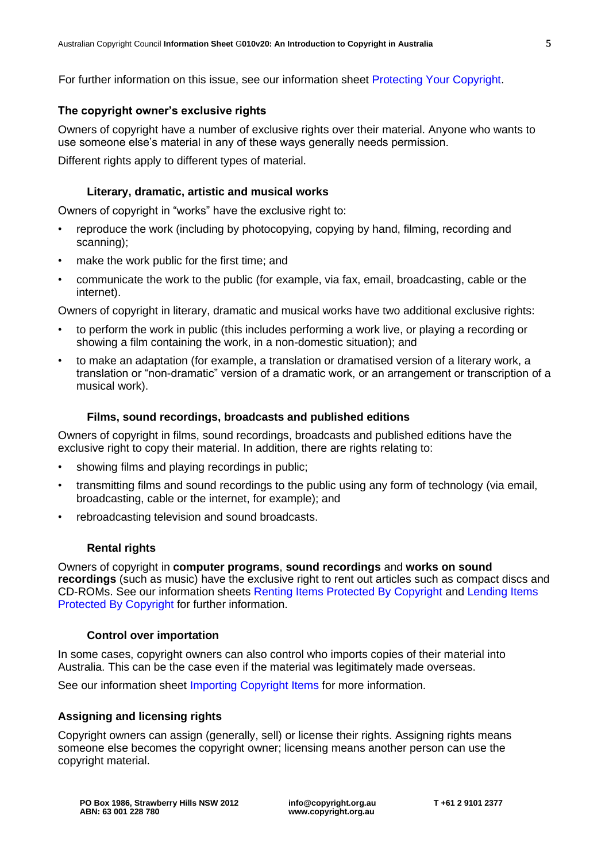For further information on this issue, see our information sheet [Protecting Your Copyright.](http://www.copyright.org.au/acc_prod/ACC/Information_Sheets/Protecting_Your_Copyright.aspx?WebsiteKey=8a471e74-3f78-4994-9023-316f0ecef4ef)

# **The copyright owner's exclusive rights**

Owners of copyright have a number of exclusive rights over their material. Anyone who wants to use someone else's material in any of these ways generally needs permission.

Different rights apply to different types of material.

### **Literary, dramatic, artistic and musical works**

Owners of copyright in "works" have the exclusive right to:

- reproduce the work (including by photocopying, copying by hand, filming, recording and scanning);
- make the work public for the first time; and
- communicate the work to the public (for example, via fax, email, broadcasting, cable or the internet).

Owners of copyright in literary, dramatic and musical works have two additional exclusive rights:

- to perform the work in public (this includes performing a work live, or playing a recording or showing a film containing the work, in a non-domestic situation); and
- to make an adaptation (for example, a translation or dramatised version of a literary work, a translation or "non-dramatic" version of a dramatic work, or an arrangement or transcription of a musical work).

## **Films, sound recordings, broadcasts and published editions**

Owners of copyright in films, sound recordings, broadcasts and published editions have the exclusive right to copy their material. In addition, there are rights relating to:

- showing films and playing recordings in public;
- transmitting films and sound recordings to the public using any form of technology (via email, broadcasting, cable or the internet, for example); and
- rebroadcasting television and sound broadcasts.

# **Rental rights**

Owners of copyright in **computer programs**, **sound recordings** and **works on sound recordings** (such as music) have the exclusive right to rent out articles such as compact discs and CD-ROMs. See our information sheets [Renting Items Protected By Copyright](http://www.copyright.org.au/acc_prod/ACC/Information_Sheets/Renting_Items_Protected_by_Copyright.aspx?WebsiteKey=8a471e74-3f78-4994-9023-316f0ecef4ef) and [Lending Items](http://www.copyright.org.au/acc_prod/ACC/Information_Sheets/Lending_items_protected_by_copyright.aspx?WebsiteKey=8a471e74-3f78-4994-9023-316f0ecef4ef)  [Protected By Copyright](http://www.copyright.org.au/acc_prod/ACC/Information_Sheets/Lending_items_protected_by_copyright.aspx?WebsiteKey=8a471e74-3f78-4994-9023-316f0ecef4ef) for further information.

#### **Control over importation**

In some cases, copyright owners can also control who imports copies of their material into Australia. This can be the case even if the material was legitimately made overseas.

See our information sheet [Importing Copyright Items](http://www.copyright.org.au/acc_prod/ACC/Information_Sheets/Importing_Copyright_Items.aspx?WebsiteKey=8a471e74-3f78-4994-9023-316f0ecef4ef) for more information.

# **Assigning and licensing rights**

Copyright owners can assign (generally, sell) or license their rights. Assigning rights means someone else becomes the copyright owner; licensing means another person can use the copyright material.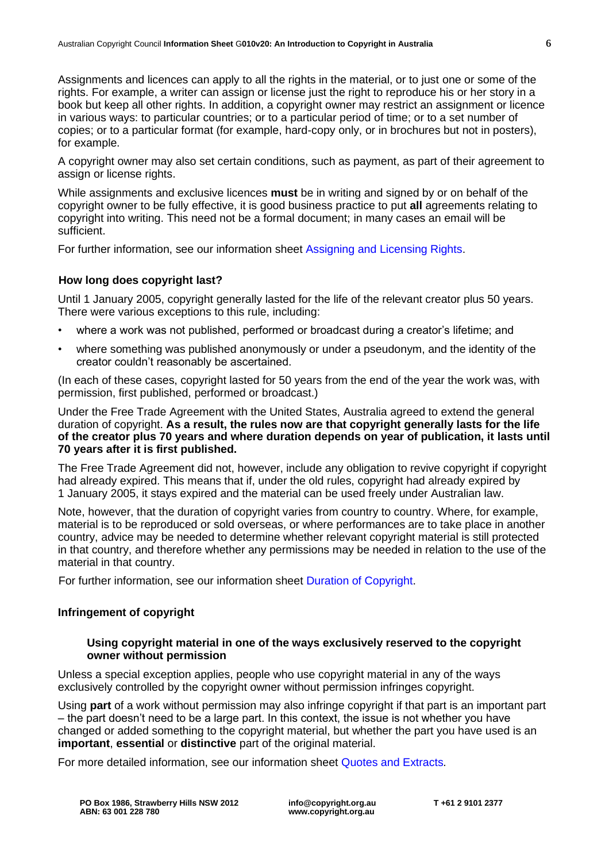Assignments and licences can apply to all the rights in the material, or to just one or some of the rights. For example, a writer can assign or license just the right to reproduce his or her story in a book but keep all other rights. In addition, a copyright owner may restrict an assignment or licence in various ways: to particular countries; or to a particular period of time; or to a set number of copies; or to a particular format (for example, hard-copy only, or in brochures but not in posters), for example.

A copyright owner may also set certain conditions, such as payment, as part of their agreement to assign or license rights.

While assignments and exclusive licences **must** be in writing and signed by or on behalf of the copyright owner to be fully effective, it is good business practice to put **all** agreements relating to copyright into writing. This need not be a formal document; in many cases an email will be sufficient.

For further information, see our information sheet [Assigning and Licensing Rights.](http://www.copyright.org.au/acc_prod/ACC/Information_Sheets/Assigning___Licensing_rights.aspx?WebsiteKey=8a471e74-3f78-4994-9023-316f0ecef4ef)

# **How long does copyright last?**

Until 1 January 2005, copyright generally lasted for the life of the relevant creator plus 50 years. There were various exceptions to this rule, including:

- where a work was not published, performed or broadcast during a creator's lifetime; and
- where something was published anonymously or under a pseudonym, and the identity of the creator couldn't reasonably be ascertained.

(In each of these cases, copyright lasted for 50 years from the end of the year the work was, with permission, first published, performed or broadcast.)

Under the Free Trade Agreement with the United States, Australia agreed to extend the general duration of copyright. **As a result, the rules now are that copyright generally lasts for the life of the creator plus 70 years and where duration depends on year of publication, it lasts until 70 years after it is first published.**

The Free Trade Agreement did not, however, include any obligation to revive copyright if copyright had already expired. This means that if, under the old rules, copyright had already expired by 1 January 2005, it stays expired and the material can be used freely under Australian law.

Note, however, that the duration of copyright varies from country to country. Where, for example, material is to be reproduced or sold overseas, or where performances are to take place in another country, advice may be needed to determine whether relevant copyright material is still protected in that country, and therefore whether any permissions may be needed in relation to the use of the material in that country.

For further information, see our information sheet [Duration of Copyright.](http://www.copyright.org.au/acc_prod/ACC/Information_Sheets/Duration_of_Copyright.aspx?WebsiteKey=8a471e74-3f78-4994-9023-316f0ecef4ef)

#### **Infringement of copyright**

#### **Using copyright material in one of the ways exclusively reserved to the copyright owner without permission**

Unless a special exception applies, people who use copyright material in any of the ways exclusively controlled by the copyright owner without permission infringes copyright.

Using **part** of a work without permission may also infringe copyright if that part is an important part – the part doesn't need to be a large part. In this context, the issue is not whether you have changed or added something to the copyright material, but whether the part you have used is an **important**, **essential** or **distinctive** part of the original material.

For more detailed information, see our information sheet [Quotes and Extracts](http://www.copyright.org.au/acc_prod/ACC/Information_Sheets/Quotes___Extracts.aspx?WebsiteKey=8a471e74-3f78-4994-9023-316f0ecef4ef)*.*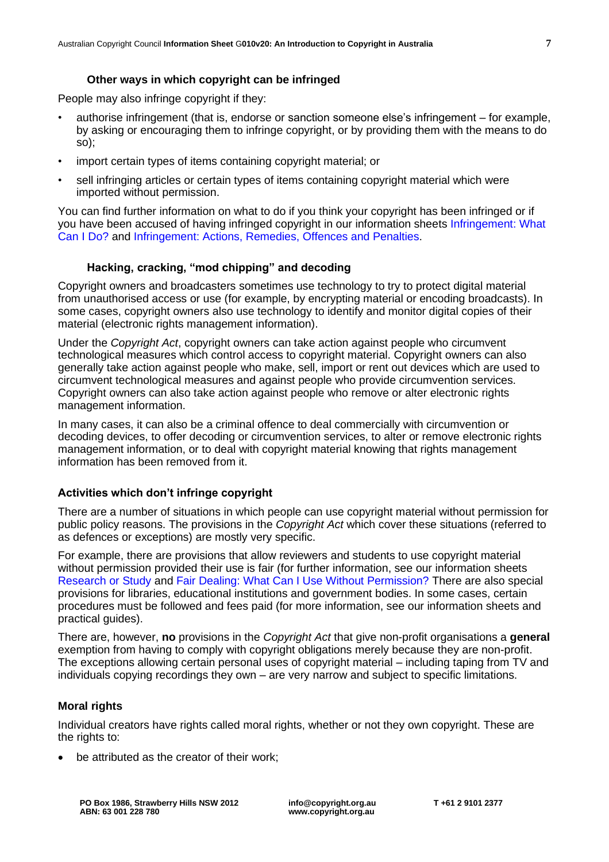# **Other ways in which copyright can be infringed**

People may also infringe copyright if they:

- authorise infringement (that is, endorse or sanction someone else's infringement for example, by asking or encouraging them to infringe copyright, or by providing them with the means to do so);
- import certain types of items containing copyright material; or
- sell infringing articles or certain types of items containing copyright material which were imported without permission.

You can find further information on what to do if you think your copyright has been infringed or if you have been accused of having infringed copyright in our information sheets [Infringement: What](http://www.copyright.org.au/acc_prod/ACC/Information_Sheets/Infringement_-_What_Can_I_Do_.aspx?WebsiteKey=8a471e74-3f78-4994-9023-316f0ecef4ef)  [Can I Do?](http://www.copyright.org.au/acc_prod/ACC/Information_Sheets/Infringement_-_What_Can_I_Do_.aspx?WebsiteKey=8a471e74-3f78-4994-9023-316f0ecef4ef) and [Infringement: Actions, Remedies, Offences and Penalties.](http://www.copyright.org.au/acc_prod/ACC/Information_Sheets/Infringement__Action__Remedies__Offences___Penalties.aspx?WebsiteKey=8a471e74-3f78-4994-9023-316f0ecef4ef)

## **Hacking, cracking, "mod chipping" and decoding**

Copyright owners and broadcasters sometimes use technology to try to protect digital material from unauthorised access or use (for example, by encrypting material or encoding broadcasts). In some cases, copyright owners also use technology to identify and monitor digital copies of their material (electronic rights management information).

Under the *Copyright Act*, copyright owners can take action against people who circumvent technological measures which control access to copyright material. Copyright owners can also generally take action against people who make, sell, import or rent out devices which are used to circumvent technological measures and against people who provide circumvention services. Copyright owners can also take action against people who remove or alter electronic rights management information.

In many cases, it can also be a criminal offence to deal commercially with circumvention or decoding devices, to offer decoding or circumvention services, to alter or remove electronic rights management information, or to deal with copyright material knowing that rights management information has been removed from it.

#### **Activities which don't infringe copyright**

There are a number of situations in which people can use copyright material without permission for public policy reasons. The provisions in the *Copyright Act* which cover these situations (referred to as defences or exceptions) are mostly very specific.

For example, there are provisions that allow reviewers and students to use copyright material without permission provided their use is fair (for further information, see our information sheets [Research or Study](http://www.copyright.org.au/acc_prod/ACC/Information_Sheets/Research_or_Study.aspx?WebsiteKey=8a471e74-3f78-4994-9023-316f0ecef4ef) and [Fair Dealing: What Can I Use Without Permission?](http://www.copyright.org.au/acc_prod/ACC/Information_Sheets/Fair_Dealing__What_Can_I_Use_Without_Permission.aspx?WebsiteKey=8a471e74-3f78-4994-9023-316f0ecef4ef) There are also special provisions for libraries, educational institutions and government bodies. In some cases, certain procedures must be followed and fees paid (for more information, see our information sheets and practical guides).

There are, however, **no** provisions in the *Copyright Act* that give non-profit organisations a **general** exemption from having to comply with copyright obligations merely because they are non-profit. The exceptions allowing certain personal uses of copyright material – including taping from TV and individuals copying recordings they own – are very narrow and subject to specific limitations.

#### **Moral rights**

Individual creators have rights called moral rights, whether or not they own copyright. These are the rights to:

be attributed as the creator of their work;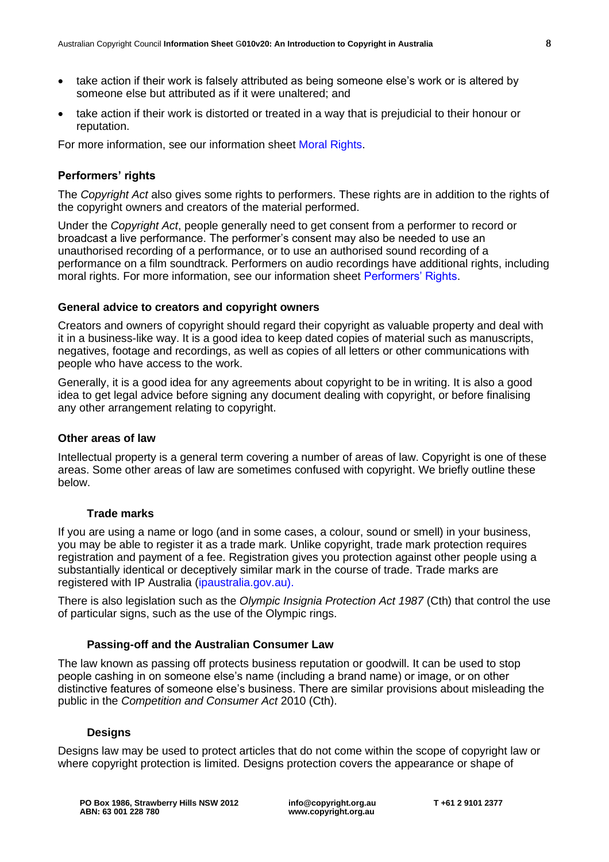- take action if their work is falsely attributed as being someone else's work or is altered by someone else but attributed as if it were unaltered; and
- take action if their work is distorted or treated in a way that is prejudicial to their honour or reputation.

For more information, see our information sheet [Moral Rights.](http://www.copyright.org.au/acc_prod/ACC/Information_Sheets/Moral_Rights.aspx?WebsiteKey=8a471e74-3f78-4994-9023-316f0ecef4ef)

# **Performers' rights**

The *Copyright Act* also gives some rights to performers. These rights are in addition to the rights of the copyright owners and creators of the material performed.

Under the *Copyright Act*, people generally need to get consent from a performer to record or broadcast a live performance. The performer's consent may also be needed to use an unauthorised recording of a performance, or to use an authorised sound recording of a performance on a film soundtrack. Performers on audio recordings have additional rights, including moral rights. For more information, see our information sheet [Performers' Rights.](http://www.copyright.org.au/acc_prod/ACC/Information_Sheets/Performers__Rights.aspx?WebsiteKey=8a471e74-3f78-4994-9023-316f0ecef4ef)

## **General advice to creators and copyright owners**

Creators and owners of copyright should regard their copyright as valuable property and deal with it in a business-like way. It is a good idea to keep dated copies of material such as manuscripts, negatives, footage and recordings, as well as copies of all letters or other communications with people who have access to the work.

Generally, it is a good idea for any agreements about copyright to be in writing. It is also a good idea to get legal advice before signing any document dealing with copyright, or before finalising any other arrangement relating to copyright.

#### **Other areas of law**

Intellectual property is a general term covering a number of areas of law. Copyright is one of these areas. Some other areas of law are sometimes confused with copyright. We briefly outline these below.

# **Trade marks**

If you are using a name or logo (and in some cases, a colour, sound or smell) in your business, you may be able to register it as a trade mark. Unlike copyright, trade mark protection requires registration and payment of a fee. Registration gives you protection against other people using a substantially identical or deceptively similar mark in the course of trade. Trade marks are registered with IP Australia [\(ipaustralia.gov.au\)](http://www.ipaustralia.gov.au/).

There is also legislation such as the *Olympic Insignia Protection Act 1987* (Cth) that control the use of particular signs, such as the use of the Olympic rings.

# **Passing-off and the Australian Consumer Law**

The law known as passing off protects business reputation or goodwill. It can be used to stop people cashing in on someone else's name (including a brand name) or image, or on other distinctive features of someone else's business. There are similar provisions about misleading the public in the *Competition and Consumer Act* 2010 (Cth).

# **Designs**

Designs law may be used to protect articles that do not come within the scope of copyright law or where copyright protection is limited. Designs protection covers the appearance or shape of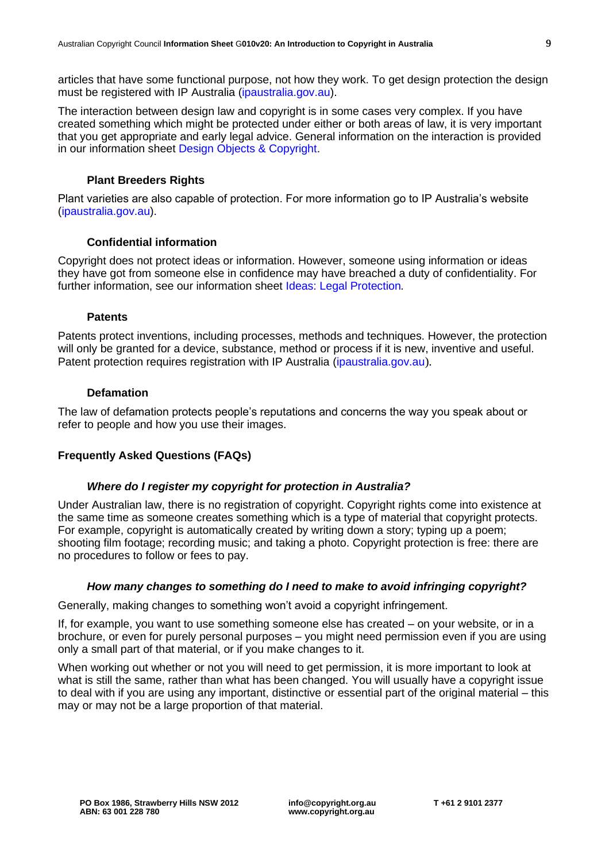The interaction between design law and copyright is in some cases very complex. If you have created something which might be protected under either or both areas of law, it is very important that you get appropriate and early legal advice. General information on the interaction is provided in our information sheet [Design Objects & Copyright.](http://www.copyright.org.au/acc_prod/ACC/Information_Sheets/Design_Objects_Copyright.aspx?WebsiteKey=8a471e74-3f78-4994-9023-316f0ecef4ef)

# **Plant Breeders Rights**

Plant varieties are also capable of protection. For more information go to IP Australia's website [\(ipaustralia.gov.au\)](http://www.ipaustralia.gov.au/).

# **Confidential information**

Copyright does not protect ideas or information. However, someone using information or ideas they have got from someone else in confidence may have breached a duty of confidentiality. For further information, see our information sheet [Ideas: Legal Protection](http://www.copyright.org.au/acc_prod/ACC/Information_Sheets/Ideas__Legal_Protection.aspx?WebsiteKey=8a471e74-3f78-4994-9023-316f0ecef4ef)*.*

# **Patents**

Patents protect inventions, including processes, methods and techniques. However, the protection will only be granted for a device, substance, method or process if it is new, inventive and useful. Patent protection requires registration with IP Australia [\(ipaustralia.gov.au](http://www.ipaustralia.gov.au/)).

# **Defamation**

The law of defamation protects people's reputations and concerns the way you speak about or refer to people and how you use their images.

# **Frequently Asked Questions (FAQs)**

# *Where do I register my copyright for protection in Australia?*

Under Australian law, there is no registration of copyright. Copyright rights come into existence at the same time as someone creates something which is a type of material that copyright protects. For example, copyright is automatically created by writing down a story; typing up a poem; shooting film footage; recording music; and taking a photo. Copyright protection is free: there are no procedures to follow or fees to pay.

# *How many changes to something do I need to make to avoid infringing copyright?*

Generally, making changes to something won't avoid a copyright infringement.

If, for example, you want to use something someone else has created – on your website, or in a brochure, or even for purely personal purposes – you might need permission even if you are using only a small part of that material, or if you make changes to it.

When working out whether or not you will need to get permission, it is more important to look at what is still the same, rather than what has been changed. You will usually have a copyright issue to deal with if you are using any important, distinctive or essential part of the original material – this may or may not be a large proportion of that material.